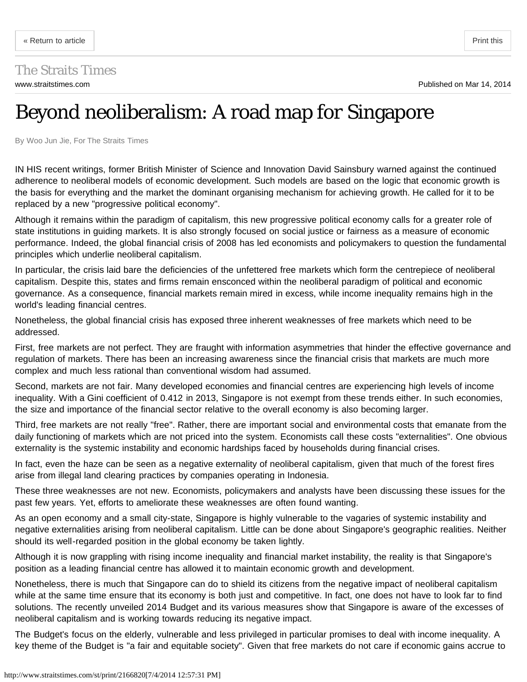## The Straits Times

## Beyond neoliberalism: A road map for Singapore

By Woo Jun Jie, For The Straits Times

IN HIS recent writings, former British Minister of Science and Innovation David Sainsbury warned against the continued adherence to neoliberal models of economic development. Such models are based on the logic that economic growth is the basis for everything and the market the dominant organising mechanism for achieving growth. He called for it to be replaced by a new "progressive political economy".

<span id="page-0-0"></span>[« Return to article](http://www.straitstimes.com/the-big-story/asia-report/singapore/story/beyond-neoliberalism-road-map-singapore-20140314) [Print this](#page-0-0) experience of the print this experience of the Print this experience of the Print this experience of the Print this experience of the Print this experience of the Print this experience of the

Although it remains within the paradigm of capitalism, this new progressive political economy calls for a greater role of state institutions in guiding markets. It is also strongly focused on social justice or fairness as a measure of economic performance. Indeed, the global financial crisis of 2008 has led economists and policymakers to question the fundamental principles which underlie neoliberal capitalism.

In particular, the crisis laid bare the deficiencies of the unfettered free markets which form the centrepiece of neoliberal capitalism. Despite this, states and firms remain ensconced within the neoliberal paradigm of political and economic governance. As a consequence, financial markets remain mired in excess, while income inequality remains high in the world's leading financial centres.

Nonetheless, the global financial crisis has exposed three inherent weaknesses of free markets which need to be addressed.

First, free markets are not perfect. They are fraught with information asymmetries that hinder the effective governance and regulation of markets. There has been an increasing awareness since the financial crisis that markets are much more complex and much less rational than conventional wisdom had assumed.

Second, markets are not fair. Many developed economies and financial centres are experiencing high levels of income inequality. With a Gini coefficient of 0.412 in 2013, Singapore is not exempt from these trends either. In such economies, the size and importance of the financial sector relative to the overall economy is also becoming larger.

Third, free markets are not really "free". Rather, there are important social and environmental costs that emanate from the daily functioning of markets which are not priced into the system. Economists call these costs "externalities". One obvious externality is the systemic instability and economic hardships faced by households during financial crises.

In fact, even the haze can be seen as a negative externality of neoliberal capitalism, given that much of the forest fires arise from illegal land clearing practices by companies operating in Indonesia.

These three weaknesses are not new. Economists, policymakers and analysts have been discussing these issues for the past few years. Yet, efforts to ameliorate these weaknesses are often found wanting.

As an open economy and a small city-state, Singapore is highly vulnerable to the vagaries of systemic instability and negative externalities arising from neoliberal capitalism. Little can be done about Singapore's geographic realities. Neither should its well-regarded position in the global economy be taken lightly.

Although it is now grappling with rising income inequality and financial market instability, the reality is that Singapore's position as a leading financial centre has allowed it to maintain economic growth and development.

Nonetheless, there is much that Singapore can do to shield its citizens from the negative impact of neoliberal capitalism while at the same time ensure that its economy is both just and competitive. In fact, one does not have to look far to find solutions. The recently unveiled 2014 Budget and its various measures show that Singapore is aware of the excesses of neoliberal capitalism and is working towards reducing its negative impact.

The Budget's focus on the elderly, vulnerable and less privileged in particular promises to deal with income inequality. A key theme of the Budget is "a fair and equitable society". Given that free markets do not care if economic gains accrue to